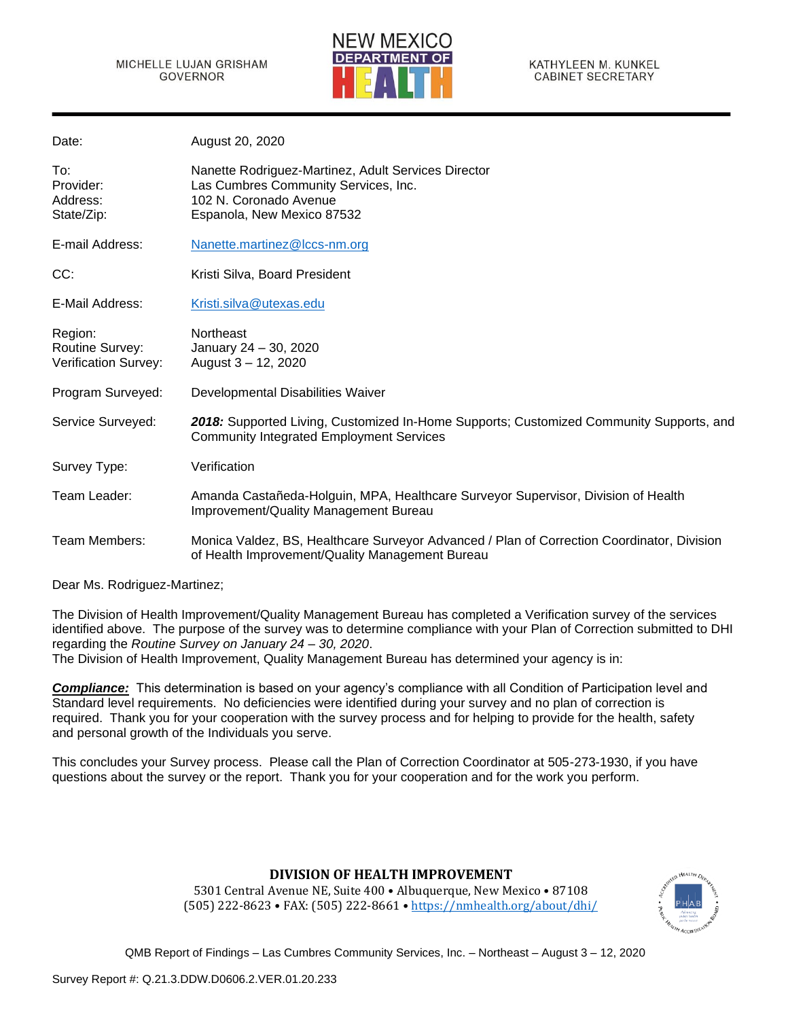

| Date:                                                     | August 20, 2020                                                                                                                                     |
|-----------------------------------------------------------|-----------------------------------------------------------------------------------------------------------------------------------------------------|
| To:<br>Provider:<br>Address:<br>State/Zip:                | Nanette Rodriguez-Martinez, Adult Services Director<br>Las Cumbres Community Services, Inc.<br>102 N. Coronado Avenue<br>Espanola, New Mexico 87532 |
| E-mail Address:                                           | Nanette.martinez@lccs-nm.org                                                                                                                        |
| CC:                                                       | Kristi Silva, Board President                                                                                                                       |
| E-Mail Address:                                           | Kristi.silva@utexas.edu                                                                                                                             |
| Region:<br>Routine Survey:<br><b>Verification Survey:</b> | Northeast<br>January 24 - 30, 2020<br>August 3 - 12, 2020                                                                                           |
| Program Surveyed:                                         | Developmental Disabilities Waiver                                                                                                                   |
| Service Surveyed:                                         | 2018: Supported Living, Customized In-Home Supports; Customized Community Supports, and<br><b>Community Integrated Employment Services</b>          |
| Survey Type:                                              | Verification                                                                                                                                        |
| Team Leader:                                              | Amanda Castañeda-Holguin, MPA, Healthcare Surveyor Supervisor, Division of Health<br>Improvement/Quality Management Bureau                          |
| Team Members:                                             | Monica Valdez, BS, Healthcare Surveyor Advanced / Plan of Correction Coordinator, Division<br>of Health Improvement/Quality Management Bureau       |

Dear Ms. Rodriguez-Martinez;

The Division of Health Improvement/Quality Management Bureau has completed a Verification survey of the services identified above. The purpose of the survey was to determine compliance with your Plan of Correction submitted to DHI regarding the *Routine Survey on January 24 – 30, 2020*.

The Division of Health Improvement, Quality Management Bureau has determined your agency is in:

*Compliance:* This determination is based on your agency's compliance with all Condition of Participation level and Standard level requirements. No deficiencies were identified during your survey and no plan of correction is required. Thank you for your cooperation with the survey process and for helping to provide for the health, safety and personal growth of the Individuals you serve.

This concludes your Survey process. Please call the Plan of Correction Coordinator at 505-273-1930, if you have questions about the survey or the report. Thank you for your cooperation and for the work you perform.

# **DIVISION OF HEALTH IMPROVEMENT**

5301 Central Avenue NE, Suite 400 • Albuquerque, New Mexico • 87108 (505) 222-8623 • FAX: (505) 222-8661 • <https://nmhealth.org/about/dhi/>

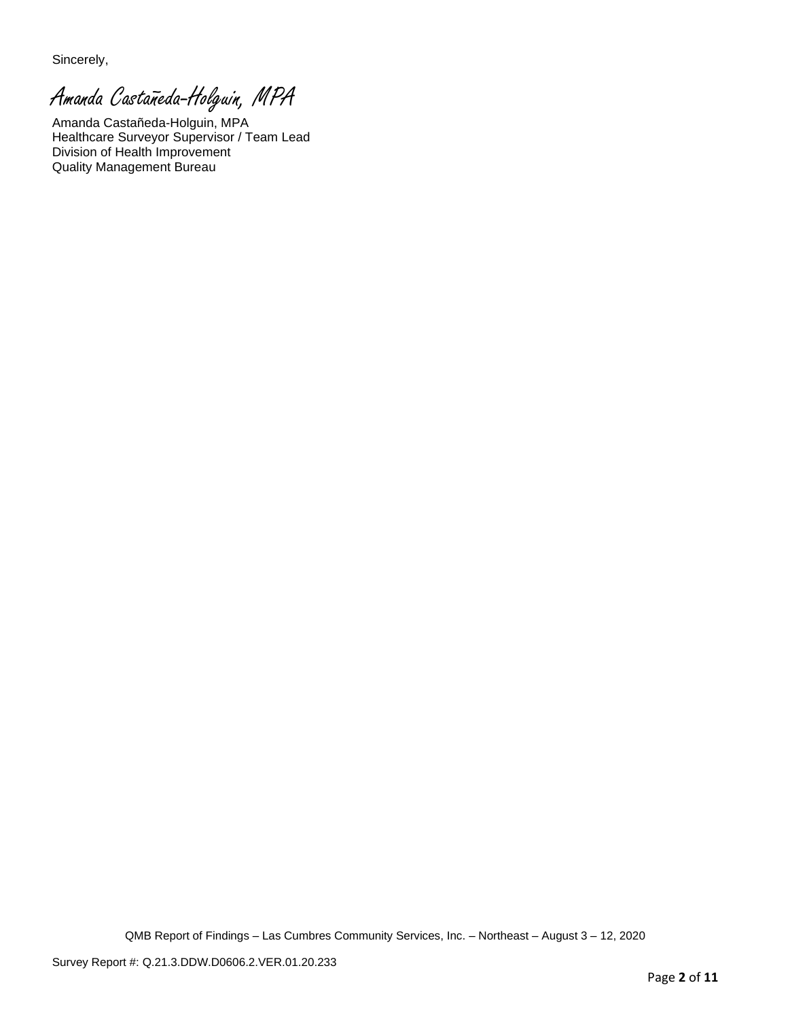Sincerely,

Amanda Castañeda-Holguin, MPA

Amanda Castañeda-Holguin, MPA Healthcare Surveyor Supervisor / Team Lead Division of Health Improvement Quality Management Bureau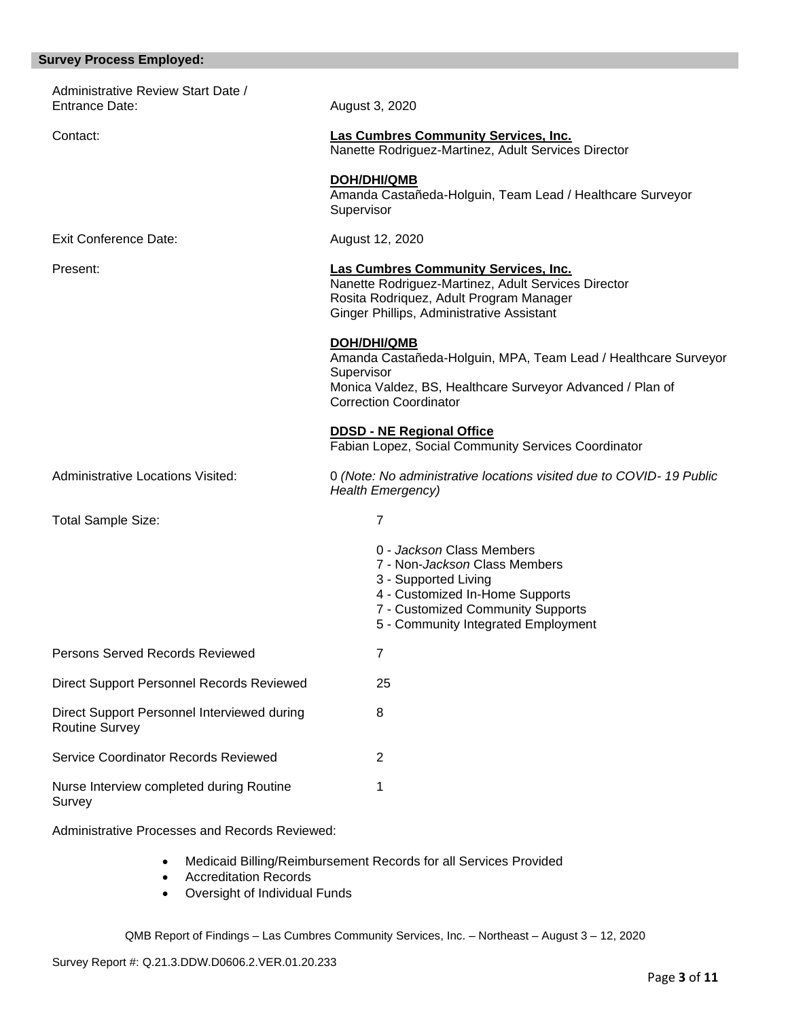# **Survey Process Employed:**

| Administrative Review Start Date /<br>Entrance Date:                 | August 3, 2020                                                                                                                                                                                    |
|----------------------------------------------------------------------|---------------------------------------------------------------------------------------------------------------------------------------------------------------------------------------------------|
| Contact:                                                             | <b>Las Cumbres Community Services, Inc.</b><br>Nanette Rodriguez-Martinez, Adult Services Director                                                                                                |
|                                                                      | <b>DOH/DHI/QMB</b><br>Amanda Castañeda-Holguin, Team Lead / Healthcare Surveyor<br>Supervisor                                                                                                     |
| <b>Exit Conference Date:</b>                                         | August 12, 2020                                                                                                                                                                                   |
| Present:                                                             | <b>Las Cumbres Community Services, Inc.</b><br>Nanette Rodriguez-Martinez, Adult Services Director<br>Rosita Rodriquez, Adult Program Manager<br>Ginger Phillips, Administrative Assistant        |
|                                                                      | DOH/DHI/QMB<br>Amanda Castañeda-Holguin, MPA, Team Lead / Healthcare Surveyor<br>Supervisor<br>Monica Valdez, BS, Healthcare Surveyor Advanced / Plan of<br><b>Correction Coordinator</b>         |
|                                                                      | <b>DDSD - NE Regional Office</b><br>Fabian Lopez, Social Community Services Coordinator                                                                                                           |
| Administrative Locations Visited:                                    | 0 (Note: No administrative locations visited due to COVID-19 Public<br><b>Health Emergency)</b>                                                                                                   |
| <b>Total Sample Size:</b>                                            | $\overline{7}$                                                                                                                                                                                    |
|                                                                      | 0 - Jackson Class Members<br>7 - Non-Jackson Class Members<br>3 - Supported Living<br>4 - Customized In-Home Supports<br>7 - Customized Community Supports<br>5 - Community Integrated Employment |
| Persons Served Records Reviewed                                      | $\overline{7}$                                                                                                                                                                                    |
| Direct Support Personnel Records Reviewed                            | 25                                                                                                                                                                                                |
| Direct Support Personnel Interviewed during<br><b>Routine Survey</b> | 8                                                                                                                                                                                                 |
| Service Coordinator Records Reviewed                                 | $\overline{c}$                                                                                                                                                                                    |
| Nurse Interview completed during Routine<br>Survey                   | 1                                                                                                                                                                                                 |

Administrative Processes and Records Reviewed:

- Medicaid Billing/Reimbursement Records for all Services Provided
- Accreditation Records
- Oversight of Individual Funds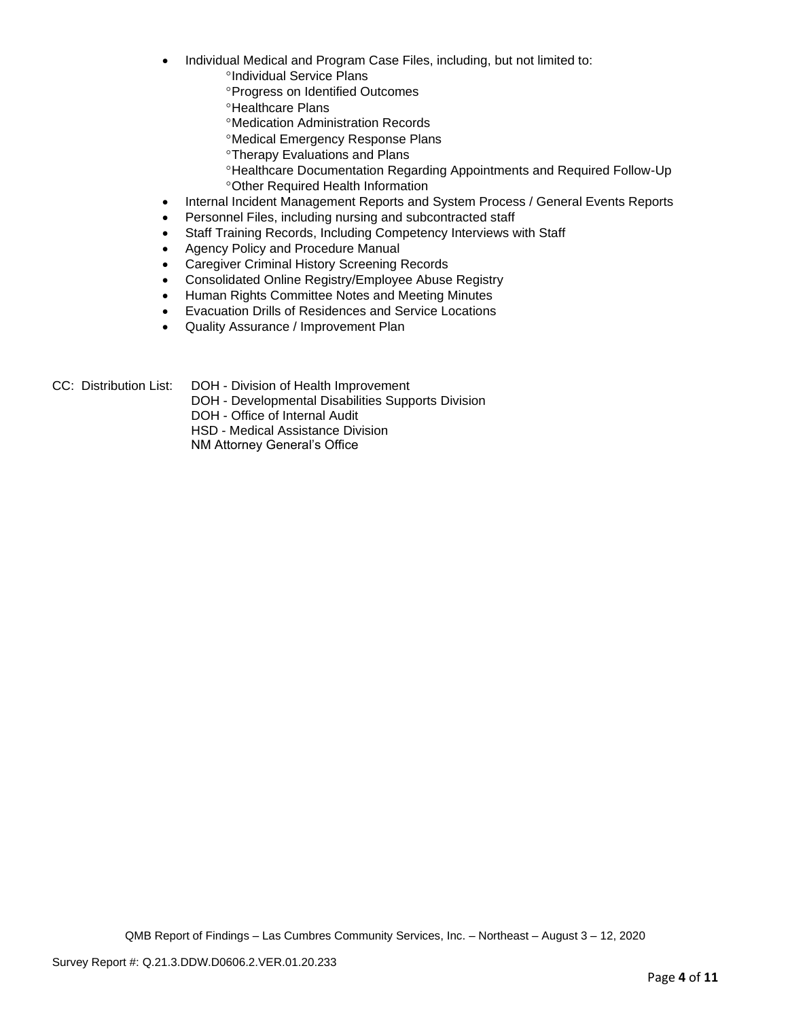- Individual Medical and Program Case Files, including, but not limited to:
	- <sup>o</sup>Individual Service Plans
	- **Progress on Identified Outcomes**
	- **<sup>o</sup>Healthcare Plans**
	- Medication Administration Records
	- Medical Emergency Response Plans
	- **<sup>o</sup>Therapy Evaluations and Plans**
	- Healthcare Documentation Regarding Appointments and Required Follow-Up Other Required Health Information
- Internal Incident Management Reports and System Process / General Events Reports
- Personnel Files, including nursing and subcontracted staff
- Staff Training Records, Including Competency Interviews with Staff
- Agency Policy and Procedure Manual
- Caregiver Criminal History Screening Records
- Consolidated Online Registry/Employee Abuse Registry
- Human Rights Committee Notes and Meeting Minutes
- Evacuation Drills of Residences and Service Locations
- Quality Assurance / Improvement Plan

- CC: Distribution List: DOH Division of Health Improvement
	- DOH Developmental Disabilities Supports Division

DOH - Office of Internal Audit

HSD - Medical Assistance Division

NM Attorney General's Office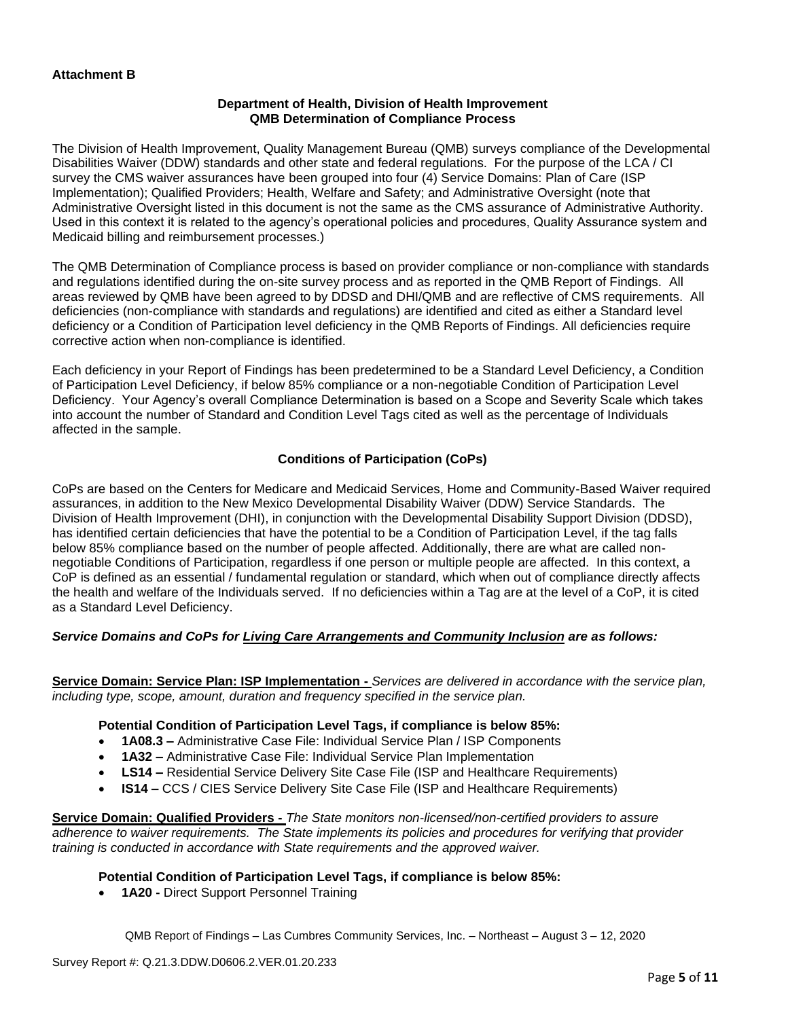## **Department of Health, Division of Health Improvement QMB Determination of Compliance Process**

The Division of Health Improvement, Quality Management Bureau (QMB) surveys compliance of the Developmental Disabilities Waiver (DDW) standards and other state and federal regulations. For the purpose of the LCA / CI survey the CMS waiver assurances have been grouped into four (4) Service Domains: Plan of Care (ISP Implementation); Qualified Providers; Health, Welfare and Safety; and Administrative Oversight (note that Administrative Oversight listed in this document is not the same as the CMS assurance of Administrative Authority. Used in this context it is related to the agency's operational policies and procedures, Quality Assurance system and Medicaid billing and reimbursement processes.)

The QMB Determination of Compliance process is based on provider compliance or non-compliance with standards and regulations identified during the on-site survey process and as reported in the QMB Report of Findings. All areas reviewed by QMB have been agreed to by DDSD and DHI/QMB and are reflective of CMS requirements. All deficiencies (non-compliance with standards and regulations) are identified and cited as either a Standard level deficiency or a Condition of Participation level deficiency in the QMB Reports of Findings. All deficiencies require corrective action when non-compliance is identified.

Each deficiency in your Report of Findings has been predetermined to be a Standard Level Deficiency, a Condition of Participation Level Deficiency, if below 85% compliance or a non-negotiable Condition of Participation Level Deficiency. Your Agency's overall Compliance Determination is based on a Scope and Severity Scale which takes into account the number of Standard and Condition Level Tags cited as well as the percentage of Individuals affected in the sample.

# **Conditions of Participation (CoPs)**

CoPs are based on the Centers for Medicare and Medicaid Services, Home and Community-Based Waiver required assurances, in addition to the New Mexico Developmental Disability Waiver (DDW) Service Standards. The Division of Health Improvement (DHI), in conjunction with the Developmental Disability Support Division (DDSD), has identified certain deficiencies that have the potential to be a Condition of Participation Level, if the tag falls below 85% compliance based on the number of people affected. Additionally, there are what are called nonnegotiable Conditions of Participation, regardless if one person or multiple people are affected. In this context, a CoP is defined as an essential / fundamental regulation or standard, which when out of compliance directly affects the health and welfare of the Individuals served. If no deficiencies within a Tag are at the level of a CoP, it is cited as a Standard Level Deficiency.

# *Service Domains and CoPs for Living Care Arrangements and Community Inclusion are as follows:*

**Service Domain: Service Plan: ISP Implementation -** *Services are delivered in accordance with the service plan, including type, scope, amount, duration and frequency specified in the service plan.*

### **Potential Condition of Participation Level Tags, if compliance is below 85%:**

- **1A08.3 –** Administrative Case File: Individual Service Plan / ISP Components
- **1A32 –** Administrative Case File: Individual Service Plan Implementation
- **LS14 –** Residential Service Delivery Site Case File (ISP and Healthcare Requirements)
- **IS14 –** CCS / CIES Service Delivery Site Case File (ISP and Healthcare Requirements)

**Service Domain: Qualified Providers -** *The State monitors non-licensed/non-certified providers to assure adherence to waiver requirements. The State implements its policies and procedures for verifying that provider training is conducted in accordance with State requirements and the approved waiver.*

## **Potential Condition of Participation Level Tags, if compliance is below 85%:**

• **1A20 -** Direct Support Personnel Training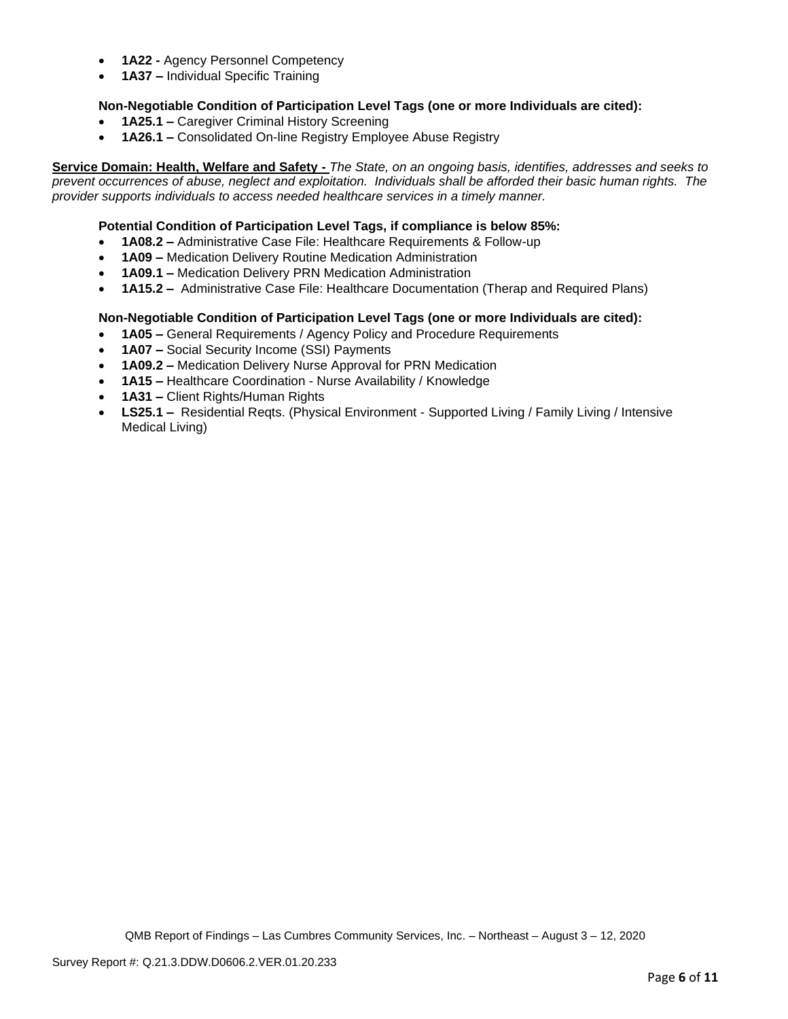- **1A22 -** Agency Personnel Competency
- **1A37 –** Individual Specific Training

# **Non-Negotiable Condition of Participation Level Tags (one or more Individuals are cited):**

- **1A25.1 –** Caregiver Criminal History Screening
- **1A26.1 –** Consolidated On-line Registry Employee Abuse Registry

**Service Domain: Health, Welfare and Safety -** *The State, on an ongoing basis, identifies, addresses and seeks to prevent occurrences of abuse, neglect and exploitation. Individuals shall be afforded their basic human rights. The provider supports individuals to access needed healthcare services in a timely manner.*

## **Potential Condition of Participation Level Tags, if compliance is below 85%:**

- **1A08.2 –** Administrative Case File: Healthcare Requirements & Follow-up
- **1A09 –** Medication Delivery Routine Medication Administration
- **1A09.1 –** Medication Delivery PRN Medication Administration
- **1A15.2 –** Administrative Case File: Healthcare Documentation (Therap and Required Plans)

# **Non-Negotiable Condition of Participation Level Tags (one or more Individuals are cited):**

- **1A05 –** General Requirements / Agency Policy and Procedure Requirements
- **1A07 –** Social Security Income (SSI) Payments
- **1A09.2 –** Medication Delivery Nurse Approval for PRN Medication
- **1A15 –** Healthcare Coordination Nurse Availability / Knowledge
- **1A31 –** Client Rights/Human Rights
- **LS25.1 –** Residential Reqts. (Physical Environment Supported Living / Family Living / Intensive Medical Living)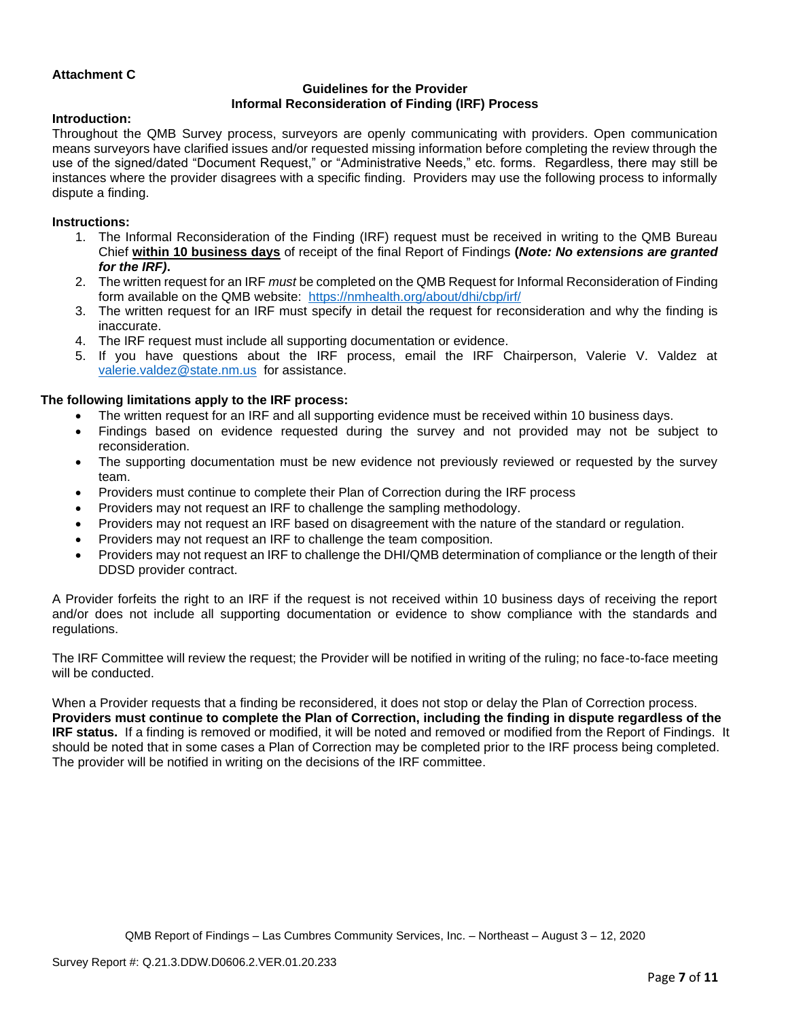# **Attachment C**

# **Guidelines for the Provider Informal Reconsideration of Finding (IRF) Process**

### **Introduction:**

Throughout the QMB Survey process, surveyors are openly communicating with providers. Open communication means surveyors have clarified issues and/or requested missing information before completing the review through the use of the signed/dated "Document Request," or "Administrative Needs," etc. forms. Regardless, there may still be instances where the provider disagrees with a specific finding. Providers may use the following process to informally dispute a finding.

#### **Instructions:**

- 1. The Informal Reconsideration of the Finding (IRF) request must be received in writing to the QMB Bureau Chief **within 10 business days** of receipt of the final Report of Findings **(***Note: No extensions are granted for the IRF)***.**
- 2. The written request for an IRF *must* be completed on the QMB Request for Informal Reconsideration of Finding form available on the QMB website: <https://nmhealth.org/about/dhi/cbp/irf/>
- 3. The written request for an IRF must specify in detail the request for reconsideration and why the finding is inaccurate.
- 4. The IRF request must include all supporting documentation or evidence.
- 5. If you have questions about the IRF process, email the IRF Chairperson, Valerie V. Valdez at [valerie.valdez@state.nm.us](mailto:valerie.valdez@state.nm.us) for assistance.

#### **The following limitations apply to the IRF process:**

- The written request for an IRF and all supporting evidence must be received within 10 business days.
- Findings based on evidence requested during the survey and not provided may not be subject to reconsideration.
- The supporting documentation must be new evidence not previously reviewed or requested by the survey team.
- Providers must continue to complete their Plan of Correction during the IRF process
- Providers may not request an IRF to challenge the sampling methodology.
- Providers may not request an IRF based on disagreement with the nature of the standard or regulation.
- Providers may not request an IRF to challenge the team composition.
- Providers may not request an IRF to challenge the DHI/QMB determination of compliance or the length of their DDSD provider contract.

A Provider forfeits the right to an IRF if the request is not received within 10 business days of receiving the report and/or does not include all supporting documentation or evidence to show compliance with the standards and regulations.

The IRF Committee will review the request; the Provider will be notified in writing of the ruling; no face-to-face meeting will be conducted.

When a Provider requests that a finding be reconsidered, it does not stop or delay the Plan of Correction process. **Providers must continue to complete the Plan of Correction, including the finding in dispute regardless of the IRF status.** If a finding is removed or modified, it will be noted and removed or modified from the Report of Findings. It should be noted that in some cases a Plan of Correction may be completed prior to the IRF process being completed. The provider will be notified in writing on the decisions of the IRF committee.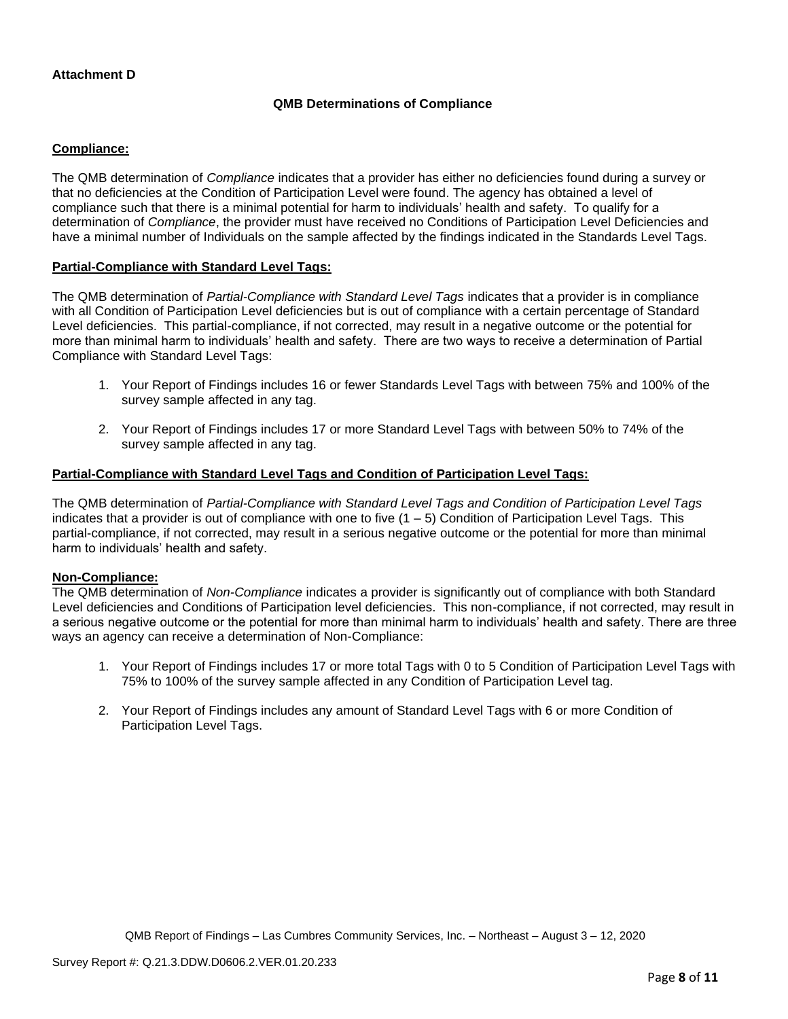# **Attachment D**

## **QMB Determinations of Compliance**

# **Compliance:**

The QMB determination of *Compliance* indicates that a provider has either no deficiencies found during a survey or that no deficiencies at the Condition of Participation Level were found. The agency has obtained a level of compliance such that there is a minimal potential for harm to individuals' health and safety. To qualify for a determination of *Compliance*, the provider must have received no Conditions of Participation Level Deficiencies and have a minimal number of Individuals on the sample affected by the findings indicated in the Standards Level Tags.

### **Partial-Compliance with Standard Level Tags:**

The QMB determination of *Partial-Compliance with Standard Level Tags* indicates that a provider is in compliance with all Condition of Participation Level deficiencies but is out of compliance with a certain percentage of Standard Level deficiencies. This partial-compliance, if not corrected, may result in a negative outcome or the potential for more than minimal harm to individuals' health and safety. There are two ways to receive a determination of Partial Compliance with Standard Level Tags:

- 1. Your Report of Findings includes 16 or fewer Standards Level Tags with between 75% and 100% of the survey sample affected in any tag.
- 2. Your Report of Findings includes 17 or more Standard Level Tags with between 50% to 74% of the survey sample affected in any tag.

# **Partial-Compliance with Standard Level Tags and Condition of Participation Level Tags:**

The QMB determination of *Partial-Compliance with Standard Level Tags and Condition of Participation Level Tags*  indicates that a provider is out of compliance with one to five  $(1 - 5)$  Condition of Participation Level Tags. This partial-compliance, if not corrected, may result in a serious negative outcome or the potential for more than minimal harm to individuals' health and safety.

### **Non-Compliance:**

The QMB determination of *Non-Compliance* indicates a provider is significantly out of compliance with both Standard Level deficiencies and Conditions of Participation level deficiencies. This non-compliance, if not corrected, may result in a serious negative outcome or the potential for more than minimal harm to individuals' health and safety. There are three ways an agency can receive a determination of Non-Compliance:

- 1. Your Report of Findings includes 17 or more total Tags with 0 to 5 Condition of Participation Level Tags with 75% to 100% of the survey sample affected in any Condition of Participation Level tag.
- 2. Your Report of Findings includes any amount of Standard Level Tags with 6 or more Condition of Participation Level Tags.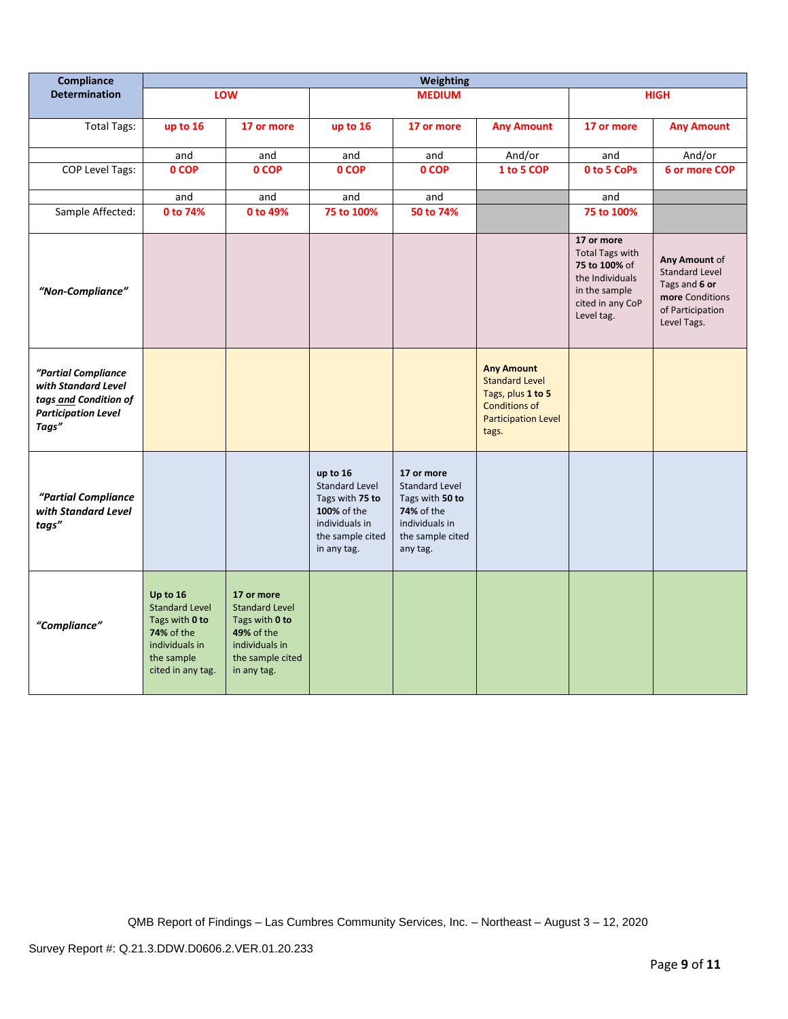| Compliance                                                                                                 | <b>Weighting</b>                                                                                                              |                                                                                                                                 |                                                                                                                          |                                                                                                                        |                                                                                                                                |                                                                                                                             |                                                                                                               |
|------------------------------------------------------------------------------------------------------------|-------------------------------------------------------------------------------------------------------------------------------|---------------------------------------------------------------------------------------------------------------------------------|--------------------------------------------------------------------------------------------------------------------------|------------------------------------------------------------------------------------------------------------------------|--------------------------------------------------------------------------------------------------------------------------------|-----------------------------------------------------------------------------------------------------------------------------|---------------------------------------------------------------------------------------------------------------|
| <b>Determination</b>                                                                                       |                                                                                                                               | LOW                                                                                                                             | <b>MEDIUM</b>                                                                                                            |                                                                                                                        |                                                                                                                                | <b>HIGH</b>                                                                                                                 |                                                                                                               |
| <b>Total Tags:</b>                                                                                         | up to 16                                                                                                                      | 17 or more                                                                                                                      | up to 16                                                                                                                 | 17 or more                                                                                                             | <b>Any Amount</b>                                                                                                              | 17 or more                                                                                                                  | <b>Any Amount</b>                                                                                             |
|                                                                                                            |                                                                                                                               |                                                                                                                                 |                                                                                                                          |                                                                                                                        |                                                                                                                                |                                                                                                                             |                                                                                                               |
| <b>COP Level Tags:</b>                                                                                     | and<br>0 COP                                                                                                                  | and<br>0 COP                                                                                                                    | and<br>0 COP                                                                                                             | and<br>0 COP                                                                                                           | And/or<br>1 to 5 COP                                                                                                           | and<br>0 to 5 CoPs                                                                                                          | And/or<br>6 or more COP                                                                                       |
|                                                                                                            |                                                                                                                               |                                                                                                                                 |                                                                                                                          |                                                                                                                        |                                                                                                                                |                                                                                                                             |                                                                                                               |
|                                                                                                            | and                                                                                                                           | and                                                                                                                             | and                                                                                                                      | and                                                                                                                    |                                                                                                                                | and                                                                                                                         |                                                                                                               |
| Sample Affected:                                                                                           | 0 to 74%                                                                                                                      | 0 to 49%                                                                                                                        | 75 to 100%                                                                                                               | 50 to 74%                                                                                                              |                                                                                                                                | 75 to 100%                                                                                                                  |                                                                                                               |
| "Non-Compliance"                                                                                           |                                                                                                                               |                                                                                                                                 |                                                                                                                          |                                                                                                                        |                                                                                                                                | 17 or more<br><b>Total Tags with</b><br>75 to 100% of<br>the Individuals<br>in the sample<br>cited in any CoP<br>Level tag. | Any Amount of<br><b>Standard Level</b><br>Tags and 6 or<br>more Conditions<br>of Participation<br>Level Tags. |
| "Partial Compliance<br>with Standard Level<br>tags and Condition of<br><b>Participation Level</b><br>Tags" |                                                                                                                               |                                                                                                                                 |                                                                                                                          |                                                                                                                        | <b>Any Amount</b><br><b>Standard Level</b><br>Tags, plus 1 to 5<br><b>Conditions of</b><br><b>Participation Level</b><br>tags. |                                                                                                                             |                                                                                                               |
| "Partial Compliance<br>with Standard Level<br>tags"                                                        |                                                                                                                               |                                                                                                                                 | up to 16<br><b>Standard Level</b><br>Tags with 75 to<br>100% of the<br>individuals in<br>the sample cited<br>in any tag. | 17 or more<br><b>Standard Level</b><br>Tags with 50 to<br>74% of the<br>individuals in<br>the sample cited<br>any tag. |                                                                                                                                |                                                                                                                             |                                                                                                               |
| "Compliance"                                                                                               | Up to 16<br><b>Standard Level</b><br>Tags with 0 to<br><b>74% of the</b><br>individuals in<br>the sample<br>cited in any tag. | 17 or more<br><b>Standard Level</b><br>Tags with 0 to<br><b>49% of the</b><br>individuals in<br>the sample cited<br>in any tag. |                                                                                                                          |                                                                                                                        |                                                                                                                                |                                                                                                                             |                                                                                                               |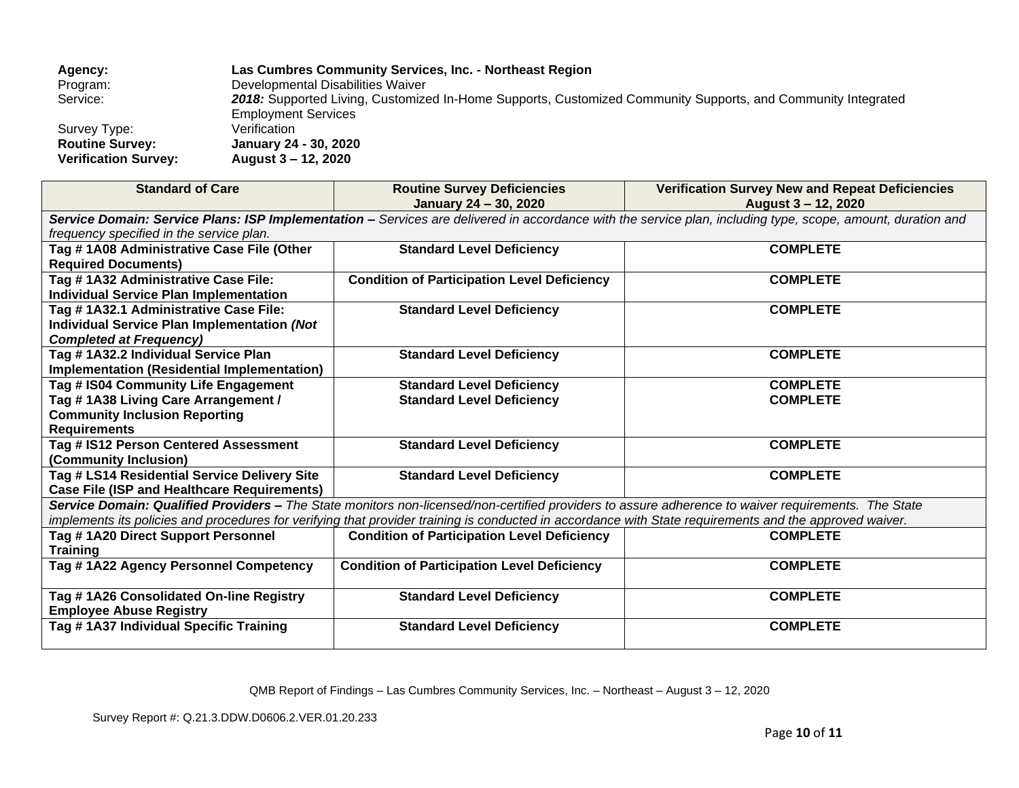| Agency:                     | Las Cumbres Community Services, Inc. - Northeast Region                                                      |
|-----------------------------|--------------------------------------------------------------------------------------------------------------|
| Program:                    | Developmental Disabilities Waiver                                                                            |
| Service:                    | 2018: Supported Living, Customized In-Home Supports, Customized Community Supports, and Community Integrated |
|                             | <b>Employment Services</b>                                                                                   |
| Survey Type:                | Verification                                                                                                 |
| <b>Routine Survey:</b>      | January 24 - 30, 2020                                                                                        |
| <b>Verification Survey:</b> | August 3 – 12, 2020                                                                                          |

| <b>Standard of Care</b>                                                                                                                                                                                 | <b>Routine Survey Deficiencies</b><br>January 24 - 30, 2020 | <b>Verification Survey New and Repeat Deficiencies</b><br>August 3 – 12, 2020 |  |  |  |
|---------------------------------------------------------------------------------------------------------------------------------------------------------------------------------------------------------|-------------------------------------------------------------|-------------------------------------------------------------------------------|--|--|--|
|                                                                                                                                                                                                         |                                                             |                                                                               |  |  |  |
| Service Domain: Service Plans: ISP Implementation - Services are delivered in accordance with the service plan, including type, scope, amount, duration and<br>frequency specified in the service plan. |                                                             |                                                                               |  |  |  |
| Tag #1A08 Administrative Case File (Other                                                                                                                                                               | <b>Standard Level Deficiency</b>                            | <b>COMPLETE</b>                                                               |  |  |  |
| <b>Required Documents)</b>                                                                                                                                                                              |                                                             |                                                                               |  |  |  |
| Tag # 1A32 Administrative Case File:                                                                                                                                                                    | <b>Condition of Participation Level Deficiency</b>          | <b>COMPLETE</b>                                                               |  |  |  |
| <b>Individual Service Plan Implementation</b>                                                                                                                                                           |                                                             |                                                                               |  |  |  |
| Tag # 1A32.1 Administrative Case File:                                                                                                                                                                  | <b>Standard Level Deficiency</b>                            | <b>COMPLETE</b>                                                               |  |  |  |
| Individual Service Plan Implementation (Not                                                                                                                                                             |                                                             |                                                                               |  |  |  |
| <b>Completed at Frequency)</b>                                                                                                                                                                          |                                                             |                                                                               |  |  |  |
| Tag # 1A32.2 Individual Service Plan                                                                                                                                                                    | <b>Standard Level Deficiency</b>                            | <b>COMPLETE</b>                                                               |  |  |  |
| <b>Implementation (Residential Implementation)</b>                                                                                                                                                      |                                                             |                                                                               |  |  |  |
| Tag # IS04 Community Life Engagement                                                                                                                                                                    | <b>Standard Level Deficiency</b>                            | <b>COMPLETE</b>                                                               |  |  |  |
| Tag #1A38 Living Care Arrangement /                                                                                                                                                                     | <b>Standard Level Deficiency</b>                            | <b>COMPLETE</b>                                                               |  |  |  |
| <b>Community Inclusion Reporting</b>                                                                                                                                                                    |                                                             |                                                                               |  |  |  |
| <b>Requirements</b>                                                                                                                                                                                     |                                                             |                                                                               |  |  |  |
| Tag # IS12 Person Centered Assessment                                                                                                                                                                   | <b>Standard Level Deficiency</b>                            | <b>COMPLETE</b>                                                               |  |  |  |
| (Community Inclusion)                                                                                                                                                                                   |                                                             |                                                                               |  |  |  |
| Tag # LS14 Residential Service Delivery Site                                                                                                                                                            | <b>Standard Level Deficiency</b>                            | <b>COMPLETE</b>                                                               |  |  |  |
| <b>Case File (ISP and Healthcare Requirements)</b>                                                                                                                                                      |                                                             |                                                                               |  |  |  |
| Service Domain: Qualified Providers - The State monitors non-licensed/non-certified providers to assure adherence to waiver requirements. The State                                                     |                                                             |                                                                               |  |  |  |
| implements its policies and procedures for verifying that provider training is conducted in accordance with State requirements and the approved waiver.                                                 |                                                             |                                                                               |  |  |  |
| Tag #1A20 Direct Support Personnel                                                                                                                                                                      | <b>Condition of Participation Level Deficiency</b>          | <b>COMPLETE</b>                                                               |  |  |  |
| <b>Training</b>                                                                                                                                                                                         |                                                             |                                                                               |  |  |  |
| Tag # 1A22 Agency Personnel Competency                                                                                                                                                                  | <b>Condition of Participation Level Deficiency</b>          | <b>COMPLETE</b>                                                               |  |  |  |
|                                                                                                                                                                                                         |                                                             |                                                                               |  |  |  |
| Tag # 1A26 Consolidated On-line Registry                                                                                                                                                                | <b>Standard Level Deficiency</b>                            | <b>COMPLETE</b>                                                               |  |  |  |
| <b>Employee Abuse Registry</b>                                                                                                                                                                          |                                                             |                                                                               |  |  |  |
| Tag #1A37 Individual Specific Training                                                                                                                                                                  | <b>Standard Level Deficiency</b>                            | <b>COMPLETE</b>                                                               |  |  |  |
|                                                                                                                                                                                                         |                                                             |                                                                               |  |  |  |